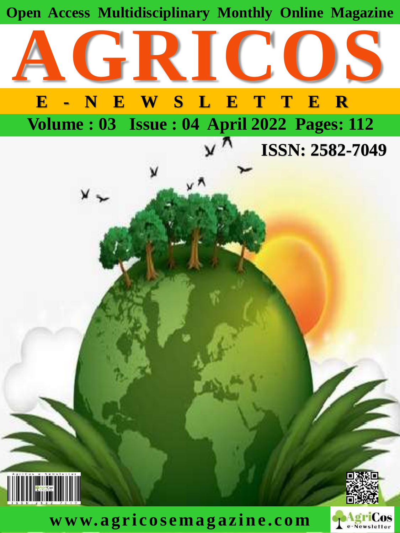

**w w w. agric osema g azin e . com**

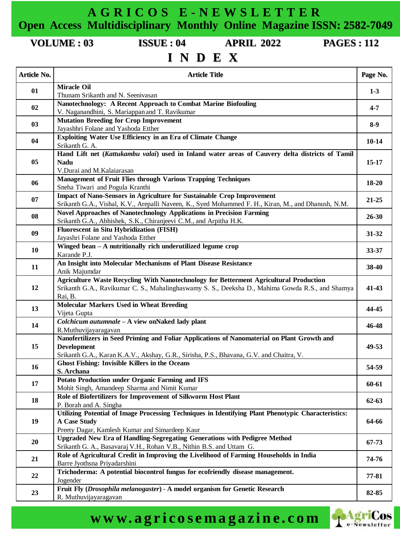**A G R I C O S E - N E W S L E T T E R Open Access Multidisciplinary Monthly Online Magazine ISSN: 2582-7049**

**VOLUME : 03 ISSUE : 04 APRIL 2022 PAGES : 112**

## **I N D E X**

| <b>Article No.</b> | <b>Article Title</b>                                                                                                                                                                                         | Page No.  |
|--------------------|--------------------------------------------------------------------------------------------------------------------------------------------------------------------------------------------------------------|-----------|
| 01                 | <b>Miracle Oil</b><br>Thunam Srikanth and N. Seenivasan                                                                                                                                                      | $1-3$     |
| 02                 | Nanotechnology: A Recent Approach to Combat Marine Biofouling<br>V. Naganandhini, S. Mariappan and T. Ravikumar                                                                                              | $4 - 7$   |
| 03                 | <b>Mutation Breeding for Crop Improvement</b><br>Jayashhri Folane and Yashoda Etther                                                                                                                         | $8-9$     |
| 04                 | <b>Exploiting Water Use Efficiency in an Era of Climate Change</b>                                                                                                                                           | $10 - 14$ |
| 05                 | Srikanth G. A.<br>Hand Lift net (Kattukambu valai) used in Inland water areas of Cauvery delta districts of Tamil<br><b>Nadu</b><br>V.Durai and M.Kalaiarasan                                                | $15-17$   |
| 06                 | <b>Management of Fruit Flies through Various Trapping Techniques</b><br>Sneha Tiwari and Pogula Kranthi                                                                                                      | $18 - 20$ |
| 07                 | Impact of Nano-Sensors in Agriculture for Sustainable Crop Improvement<br>Srikanth G.A., Vishal, K.V., Arepalli Naveen, K., Syed Mohammed F. H., Kiran, M., and Dhanush, N.M.                                | $21 - 25$ |
| 08                 | <b>Novel Approaches of Nanotechnology Applications in Precision Farming</b><br>Srikanth G.A., Abhishek, S.K., Chiranjeevi C.M., and Arpitha H.K.                                                             | $26 - 30$ |
| 09                 | <b>Fluorescent in Situ Hybridization (FISH)</b><br>Jayashri Folane and Yashoda Etther                                                                                                                        | $31 - 32$ |
| 10                 | Winged bean - A nutritionally rich underutilized legume crop<br>Karande P.J.                                                                                                                                 | 33-37     |
| 11                 | An Insight into Molecular Mechanisms of Plant Disease Resistance<br>Anik Majumdar                                                                                                                            | 38-40     |
| 12                 | Agriculture Waste Recycling With Nanotechnology for Betterment Agricultural Production<br>Srikanth G.A., Ravikumar C. S., Mahalinghaswamy S. S., Deeksha D., Mahima Gowda R.S., and Shamya<br>Rai, B.        | $41 - 43$ |
| 13                 | <b>Molecular Markers Used in Wheat Breeding</b><br>Vijeta Gupta                                                                                                                                              | 44-45     |
| 14                 | Colchicum autumnale - A view onNaked lady plant<br>R.Muthuvijayaragavan                                                                                                                                      | 46-48     |
| 15                 | Nanofertilizers in Seed Priming and Foliar Applications of Nanomaterial on Plant Growth and<br><b>Development</b><br>Srikanth G.A., Karan K.A.V., Akshay, G.R., Sirisha, P.S., Bhavana, G.V. and Chaitra, V. | 49-53     |
| <b>16</b>          | <b>Ghost Fishing: Invisible Killers in the Oceans</b><br>S. Archana                                                                                                                                          | 54-59     |
| 17                 | <b>Potato Production under Organic Farming and IFS</b><br>Mohit Singh, Amandeep Sharma and Nimit Kumar                                                                                                       | 60-61     |
| 18                 | Role of Biofertilizers for Improvement of Silkworm Host Plant<br>P. Borah and A. Singha                                                                                                                      | $62 - 63$ |
| 19                 | Utilizing Potential of Image Processing Techniques in Identifying Plant Phenotypic Characteristics:<br><b>A Case Study</b><br>Preety Dagar, Kamlesh Kumar and Simardeep Kaur                                 | 64-66     |
| 20                 | <b>Upgraded New Era of Handling-Segregating Generations with Pedigree Method</b><br>Srikanth G. A., Basavaraj V.H., Rohan V.B., Nithin B.S. and Uttam G.                                                     | $67 - 73$ |
| 21                 | Role of Agricultural Credit in Improving the Livelihood of Farming Households in India<br>Barre Jyothsna Priyadarshini                                                                                       | 74-76     |
| 22                 | Trichoderma: A potential biocontrol fungus for ecofriendly disease management.<br>Jogender                                                                                                                   | 77-81     |
| 23                 | Fruit Fly (Drosophila melanogaster) - A model organism for Genetic Research<br>R. Muthuvijayaragavan                                                                                                         | 82-85     |

# **w w w. a g r i c o s e m a g a z i n e . c o m**